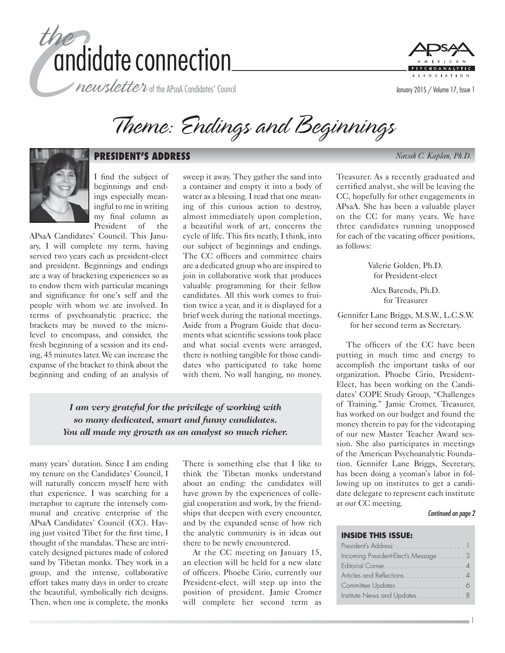

newsletter of the APsaA Candidates' Council



Theme: Endings and Beginnings



#### **PRESIDENT'S ADDRESS** *Navah C. Kaplan, Ph.D.*

I find the subject of beginnings and endings especially meaningful to me in writing my final column as President of the

APsaA Candidates' Council. This January, I will complete my term, having served two years each as president-elect and president. Beginnings and endings are a way of bracketing experiences so as to endow them with particular meanings and significance for one's self and the people with whom we are involved. In terms of psychoanalytic practice, the brackets may be moved to the microlevel to encompass, and consider, the fresh beginning of a session and its ending, 45 minutes later. We can increase the expanse of the bracket to think about the beginning and ending of an analysis of

sweep it away. They gather the sand into a container and empty it into a body of water as a blessing. I read that one meaning of this curious action to destroy, almost immediately upon completion, a beautiful work of art, concerns the cycle of life. This fits neatly, I think, into our subject of beginnings and endings. The CC officers and committee chairs are a dedicated group who are inspired to join in collaborative work that produces valuable programming for their fellow candidates. All this work comes to fruition twice a year, and it is displayed for a brief week during the national meetings. Aside from a Program Guide that documents what scientific sessions took place and what social events were arranged, there is nothing tangible for those candidates who participated to take home with them. No wall hanging, no money.

*I am very grateful for the privilege of working with so many dedicated, smart and funny candidates. You all made my growth as an analyst so much richer.*

many years' duration. Since I am ending my tenure on the Candidates' Council, I will naturally concern myself here with that experience. I was searching for a metaphor to capture the intensely communal and creative enterprise of the APsaA Candidates' Council (CC). Having just visited Tibet for the first time, I thought of the mandalas. These are intricately designed pictures made of colored sand by Tibetan monks. They work in a group, and the intense, collaborative effort takes many days in order to create the beautiful, symbolically rich designs. Then, when one is complete, the monks

There is something else that I like to think the Tibetan monks understand about an ending: the candidates will have grown by the experiences of collegial cooperation and work, by the friendships that deepen with every encounter, and by the expanded sense of how rich the analytic community is in ideas out there to be newly encountered.

At the CC meeting on January 15, an election will be held for a new slate of officers. Phoebe Cirio, currently our President-elect, will step up into the position of president. Jamie Cromer will complete her second term as

Treasurer. As a recently graduated and certified analyst, she will be leaving the CC, hopefully for other engagements in APsaA. She has been a valuable player on the CC for many years. We have three candidates running unopposed for each of the vacating officer positions, as follows:

> Valerie Golden, Ph.D. for President-elect

Alex Barends, Ph.D. for Treasurer

Gennifer Lane Briggs, M.S.W., L.C.S.W. for her second term as Secretary.

The officers of the CC have been putting in much time and energy to accomplish the important tasks of our organization. Phoebe Cirio, President-Elect, has been working on the Candidates' COPE Study Group, "Challenges of Training." Jamie Cromer, Treasurer, has worked on our budget and found the money therein to pay for the videotaping of our new Master Teacher Award session. She also participates in meetings of the American Psychoanalytic Foundation. Gennifer Lane Briggs, Secretary, has been doing a yeoman's labor in following up on institutes to get a candidate delegate to represent each institute at our CC meeting.

#### Continued on page 2

1

#### **INSIDE THIS ISSUE:**

| President's Address 1               |
|-------------------------------------|
| Incoming President-Elect's Message3 |
|                                     |
| Articles and Reflections4           |
|                                     |
| Institute News and Updates8         |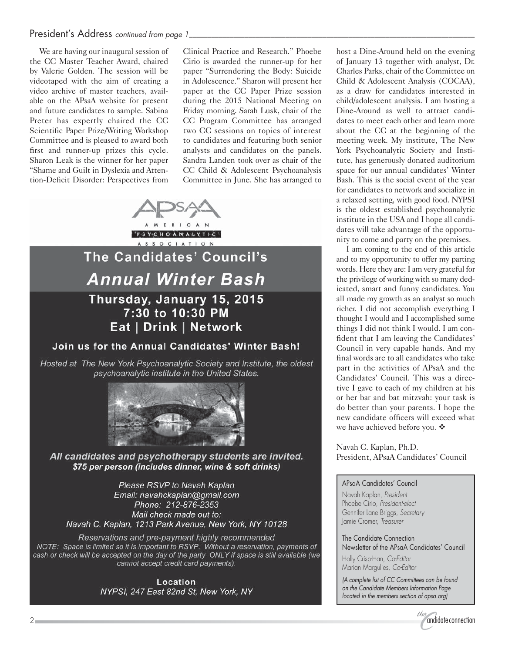# President's Address continued from page 1

We are having our inaugural session of the CC Master Teacher Award, chaired by Valerie Golden. The session will be videotaped with the aim of creating a video archive of master teachers, available on the APsaA website for present and future candidates to sample. Sabina Preter has expertly chaired the CC Scientific Paper Prize/Writing Workshop Committee and is pleased to award both first and runner-up prizes this cycle. Sharon Leak is the winner for her paper "Shame and Guilt in Dyslexia and Attention-Deficit Disorder: Perspectives from Clinical Practice and Research." Phoebe Cirio is awarded the runner-up for her paper "Surrendering the Body: Suicide in Adolescence." Sharon will present her paper at the CC Paper Prize session during the 2015 National Meeting on Friday morning. Sarah Lusk, chair of the CC Program Committee has arranged two CC sessions on topics of interest to candidates and featuring both senior analysts and candidates on the panels. Sandra Landen took over as chair of the CC Child & Adolescent Psychoanalysis Committee in June. She has arranged to



Hosted at The New York Psychoanalytic Society and Institute, the oldest psychoanalytic institute in the United States.



All candidates and psychotherapy students are invited. \$75 per person (includes dinner, wine & soft drinks)

Please RSVP to Navah Kaplan Email: navahckaplan@gmail.com Phone: 212-876-2353 Mail check made out to: Navah C. Kaplan, 1213 Park Avenue, New York, NY 10128

Reservations and pre-payment highly recommended NOTE: Space is limited so it is important to RSVP. Without a reservation, payments of cash or check will be accepted on the day of the party ONLY if space is still available (we cannot accept credit card payments).

> Location NYPSI, 247 East 82nd St, New York, NY

host a Dine-Around held on the evening of January 13 together with analyst, Dr. Charles Parks, chair of the Committee on Child & Adolescent Analysis (COCAA), as a draw for candidates interested in child/adolescent analysis. I am hosting a Dine-Around as well to attract candidates to meet each other and learn more about the CC at the beginning of the meeting week. My institute, The New York Psychoanalytic Society and Institute, has generously donated auditorium space for our annual candidates' Winter Bash. This is the social event of the year for candidates to network and socialize in a relaxed setting, with good food. NYPSI is the oldest established psychoanalytic institute in the USA and I hope all candidates will take advantage of the opportunity to come and party on the premises.

I am coming to the end of this article and to my opportunity to offer my parting words. Here they are: I am very grateful for the privilege of working with so many dedicated, smart and funny candidates. You all made my growth as an analyst so much richer. I did not accomplish everything I thought I would and I accomplished some things I did not think I would. I am confident that I am leaving the Candidates' Council in very capable hands. And my final words are to all candidates who take part in the activities of APsaA and the Candidates' Council. This was a directive I gave to each of my children at his or her bar and bat mitzvah: your task is do better than your parents. I hope the new candidate officers will exceed what we have achieved before you.  $\clubsuit$ 

Navah C. Kaplan, Ph.D. President, APsaA Candidates' Council

#### APsaA Candidates' Council

Navah Kaplan, President Phoebe Cirio, President-elect Gennifer Lane Briggs, Secretary Jamie Cromer, Treasurer

The Candidate Connection Newsletter of the APsaA Candidates' Council

Holly Crisp-Han, Co-Editor Marian Margulies, Co-Editor

(A complete list of CC Committees can be found on the Candidate Members Information Page located in the members section of apsa.org)

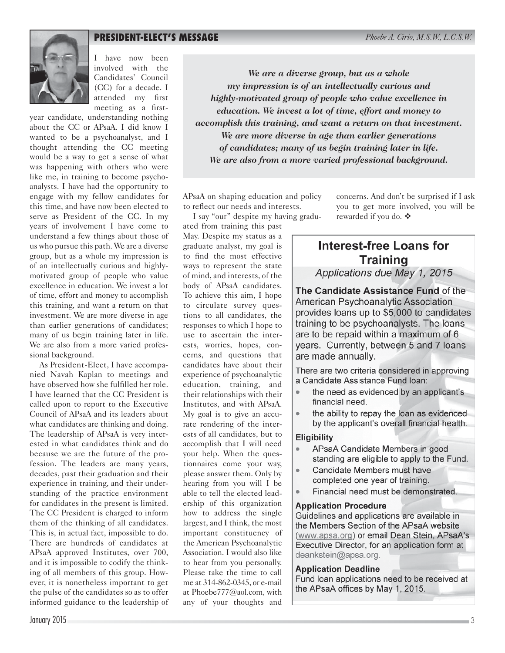# **PRESIDENT-ELECT'S MESSAGE** *Phoebe A. Cirio, M.S.W., L.C.S.W.*



I have now been involved with the Candidates' Council (CC) for a decade. I attended my first meeting as a first-

year candidate, understanding nothing about the CC or APsaA. I did know I wanted to be a psychoanalyst, and I thought attending the CC meeting would be a way to get a sense of what was happening with others who were like me, in training to become psychoanalysts. I have had the opportunity to engage with my fellow candidates for this time, and have now been elected to serve as President of the CC. In my years of involvement I have come to understand a few things about those of us who pursue this path. We are a diverse group, but as a whole my impression is of an intellectually curious and highlymotivated group of people who value excellence in education. We invest a lot of time, effort and money to accomplish this training, and want a return on that investment. We are more diverse in age than earlier generations of candidates; many of us begin training later in life. We are also from a more varied professional background.

As President-Elect, I have accompanied Navah Kaplan to meetings and have observed how she fulfilled her role. I have learned that the CC President is called upon to report to the Executive Council of APsaA and its leaders about what candidates are thinking and doing. The leadership of APsaA is very interested in what candidates think and do because we are the future of the profession. The leaders are many years, decades, past their graduation and their experience in training, and their understanding of the practice environment for candidates in the present is limited. The CC President is charged to inform them of the thinking of all candidates. This is, in actual fact, impossible to do. There are hundreds of candidates at APsaA approved Institutes, over 700, and it is impossible to codify the thinking of all members of this group. However, it is nonetheless important to get the pulse of the candidates so as to offer informed guidance to the leadership of

*We are a diverse group, but as a whole my impression is of an intellectually curious and highly-motivated group of people who value excellence in education. We invest a lot of time, effort and money to accomplish this training, and want a return on that investment. We are more diverse in age than earlier generations of candidates; many of us begin training later in life. We are also from a more varied professional background.*

APsaA on shaping education and policy to reflect our needs and interests.

I say "our" despite my having graduated from training this past

May. Despite my status as a graduate analyst, my goal is to find the most effective ways to represent the state of mind, and interests, of the body of APsaA candidates. To achieve this aim, I hope to circulate survey questions to all candidates, the responses to which I hope to use to ascertain the interests, worries, hopes, concerns, and questions that candidates have about their experience of psychoanalytic education, training, and their relationships with their Institutes, and with APsaA. My goal is to give an accurate rendering of the interests of all candidates, but to accomplish that I will need your help. When the questionnaires come your way, please answer them. Only by hearing from you will I be able to tell the elected leadership of this organization how to address the single largest, and I think, the most important constituency of the American Psychoanalytic Association. I would also like to hear from you personally. Please take the time to call me at 314-862-0345, or e-mail at Phoebe777@aol.com, with any of your thoughts and

concerns. And don't be surprised if I ask you to get more involved, you will be rewarded if you do.  $\clubsuit$ 

# **Interest-free Loans for Training**

Applications due May 1, 2015

The Candidate Assistance Fund of the American Psychoanalytic Association provides loans up to \$5,000 to candidates training to be psychoanalysts. The loans are to be repaid within a maximum of 6 years. Currently, between 5 and 7 loans are made annually.

There are two criteria considered in approving a Candidate Assistance Fund Ioan:

- the need as evidenced by an applicant's financial need.
- $\bullet$ the ability to repay the loan as evidenced by the applicant's overall financial health.

#### **Eligibility**

- APsaA Candidate Members in good standing are eligible to apply to the Fund.
- Candidate Members must have completed one year of training.
- Financial need must be demonstrated.

## **Application Procedure**

Guidelines and applications are available in the Members Section of the APsaA website (www.apsa.org) or email Dean Stein, APsaA's Executive Director, for an application form at deankstein@apsa.org.

#### **Application Deadline**

Fund loan applications need to be received at the APsaA offices by May 1, 2015.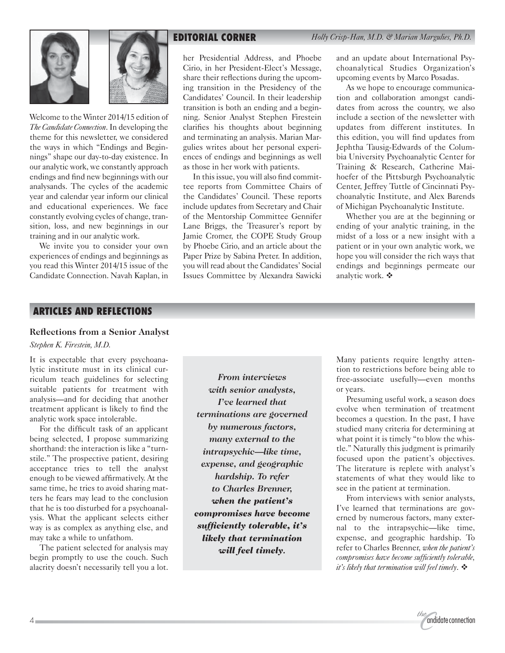



Welcome to the Winter 2014/15 edition of *The Candidate Connection*. In developing the theme for this newsletter, we considered the ways in which "Endings and Beginnings" shape our day-to-day existence. In our analytic work, we constantly approach endings and find new beginnings with our analysands. The cycles of the academic year and calendar year inform our clinical and educational experiences. We face constantly evolving cycles of change, transition, loss, and new beginnings in our training and in our analytic work.

We invite you to consider your own experiences of endings and beginnings as you read this Winter 2014/15 issue of the Candidate Connection. Navah Kaplan, in

her Presidential Address, and Phoebe Cirio, in her President-Elect's Message, share their reflections during the upcoming transition in the Presidency of the Candidates' Council. In their leadership transition is both an ending and a beginning. Senior Analyst Stephen Firestein clarifies his thoughts about beginning and terminating an analysis. Marian Margulies writes about her personal experiences of endings and beginnings as well as those in her work with patients.

In this issue, you will also find committee reports from Committee Chairs of the Candidates' Council. These reports include updates from Secretary and Chair of the Mentorship Committee Gennifer Lane Briggs, the Treasurer's report by Jamie Cromer, the COPE Study Group by Phoebe Cirio, and an article about the Paper Prize by Sabina Preter. In addition, you will read about the Candidates' Social Issues Committee by Alexandra Sawicki and an update about International Psychoanalytical Studies Organization's upcoming events by Marco Posadas.

As we hope to encourage communication and collaboration amongst candidates from across the country, we also include a section of the newsletter with updates from different institutes. In this edition, you will find updates from Jephtha Tausig-Edwards of the Columbia University Psychoanalytic Center for Training & Research, Catherine Maihoefer of the Pittsburgh Psychoanalytic Center, Jeffrey Tuttle of Cincinnati Psychoanalytic Institute, and Alex Barends of Michigan Psychoanalytic Institute.

Whether you are at the beginning or ending of your analytic training, in the midst of a loss or a new insight with a patient or in your own analytic work, we hope you will consider the rich ways that endings and beginnings permeate our analytic work.  $\clubsuit$ 

#### **ARTICLES AND REFLECTIONS**

#### **Reflections from a Senior Analyst**

*Stephen K. Firestein, M.D.*

It is expectable that every psychoanalytic institute must in its clinical curriculum teach guidelines for selecting suitable patients for treatment with analysis—and for deciding that another treatment applicant is likely to find the analytic work space intolerable.

For the difficult task of an applicant being selected, I propose summarizing shorthand: the interaction is like a "turnstile." The prospective patient, desiring acceptance tries to tell the analyst enough to be viewed affirmatively. At the same time, he tries to avoid sharing matters he fears may lead to the conclusion that he is too disturbed for a psychoanalysis. What the applicant selects either way is as complex as anything else, and may take a while to unfathom.

The patient selected for analysis may begin promptly to use the couch. Such alacrity doesn't necessarily tell you a lot.

*From interviews with senior analysts, I've learned that terminations are governed by numerous factors, many external to the intrapsychic—like time, expense, and geographic hardship. To refer to Charles Brenner, when the patient's compromises have become sufficiently tolerable, it's likely that termination will feel timely.*

Many patients require lengthy attention to restrictions before being able to free-associate usefully—even months or years.

Presuming useful work, a season does evolve when termination of treatment becomes a question. In the past, I have studied many criteria for determining at what point it is timely "to blow the whistle." Naturally this judgment is primarily focused upon the patient's objectives. The literature is replete with analyst's statements of what they would like to see in the patient at termination.

From interviews with senior analysts, I've learned that terminations are governed by numerous factors, many external to the intrapsychic—like time, expense, and geographic hardship. To refer to Charles Brenner, *when the patient's compromises have become sufficiently tolerable, it's likely that termination will feel timely*. -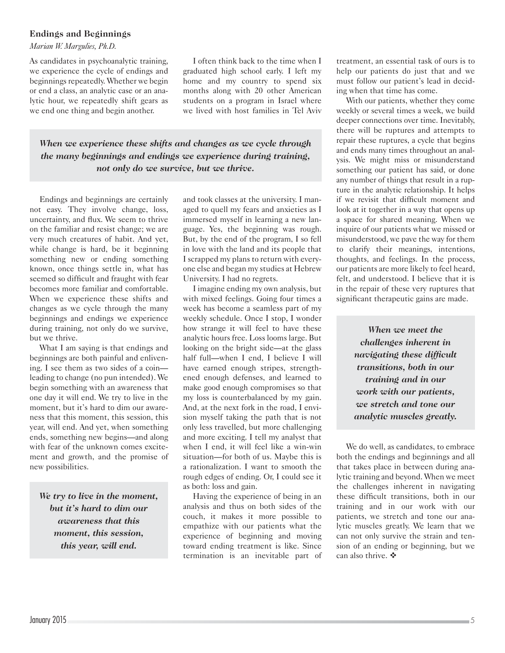#### **Endings and Beginnings**

*Marian W. Margulies, Ph.D.*

As candidates in psychoanalytic training, we experience the cycle of endings and beginnings repeatedly. Whether we begin or end a class, an analytic case or an analytic hour, we repeatedly shift gears as we end one thing and begin another.

I often think back to the time when I graduated high school early. I left my home and my country to spend six months along with 20 other American students on a program in Israel where we lived with host families in Tel Aviv

*When we experience these shifts and changes as we cycle through the many beginnings and endings we experience during training, not only do we survive, but we thrive.*

Endings and beginnings are certainly not easy. They involve change, loss, uncertainty, and flux. We seem to thrive on the familiar and resist change; we are very much creatures of habit. And yet, while change is hard, be it beginning something new or ending something known, once things settle in, what has seemed so difficult and fraught with fear becomes more familiar and comfortable. When we experience these shifts and changes as we cycle through the many beginnings and endings we experience during training, not only do we survive, but we thrive.

What I am saying is that endings and beginnings are both painful and enlivening. I see them as two sides of a coin leading to change (no pun intended). We begin something with an awareness that one day it will end. We try to live in the moment, but it's hard to dim our awareness that this moment, this session, this year, will end. And yet, when something ends, something new begins—and along with fear of the unknown comes excitement and growth, and the promise of new possibilities.

*We try to live in the moment, but it's hard to dim our awareness that this moment, this session, this year, will end.*

and took classes at the university. I managed to quell my fears and anxieties as I immersed myself in learning a new language. Yes, the beginning was rough. But, by the end of the program, I so fell in love with the land and its people that I scrapped my plans to return with everyone else and began my studies at Hebrew University. I had no regrets.

I imagine ending my own analysis, but with mixed feelings. Going four times a week has become a seamless part of my weekly schedule. Once I stop, I wonder how strange it will feel to have these analytic hours free. Loss looms large. But looking on the bright side—at the glass half full—when I end, I believe I will have earned enough stripes, strengthened enough defenses, and learned to make good enough compromises so that my loss is counterbalanced by my gain. And, at the next fork in the road, I envision myself taking the path that is not only less travelled, but more challenging and more exciting. I tell my analyst that when I end, it will feel like a win-win situation—for both of us. Maybe this is a rationalization. I want to smooth the rough edges of ending. Or, I could see it as both: loss and gain.

Having the experience of being in an analysis and thus on both sides of the couch, it makes it more possible to empathize with our patients what the experience of beginning and moving toward ending treatment is like. Since termination is an inevitable part of treatment, an essential task of ours is to help our patients do just that and we must follow our patient's lead in deciding when that time has come.

With our patients, whether they come weekly or several times a week, we build deeper connections over time. Inevitably, there will be ruptures and attempts to repair these ruptures, a cycle that begins and ends many times throughout an analysis. We might miss or misunderstand something our patient has said, or done any number of things that result in a rupture in the analytic relationship. It helps if we revisit that difficult moment and look at it together in a way that opens up a space for shared meaning. When we inquire of our patients what we missed or misunderstood, we pave the way for them to clarify their meanings, intentions, thoughts, and feelings. In the process, our patients are more likely to feel heard, felt, and understood. I believe that it is in the repair of these very ruptures that significant therapeutic gains are made.

> *When we meet the challenges inherent in navigating these difficult transitions, both in our training and in our work with our patients, we stretch and tone our analytic muscles greatly.*

We do well, as candidates, to embrace both the endings and beginnings and all that takes place in between during analytic training and beyond. When we meet the challenges inherent in navigating these difficult transitions, both in our training and in our work with our patients, we stretch and tone our analytic muscles greatly. We learn that we can not only survive the strain and tension of an ending or beginning, but we can also thrive.  $\clubsuit$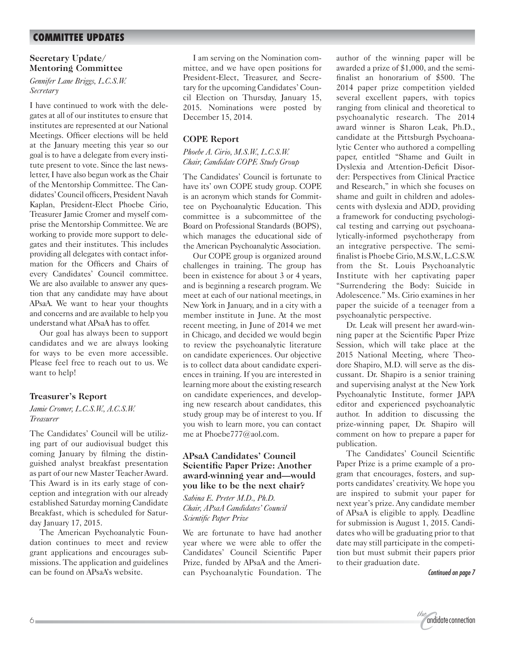# **COMMITTEE UPDATES**

#### **Secretary Update/ Mentoring Committee**

*Gennifer Lane Briggs, L.C.S.W. Secretary*

I have continued to work with the delegates at all of our institutes to ensure that institutes are represented at our National Meetings. Officer elections will be held at the January meeting this year so our goal is to have a delegate from every institute present to vote. Since the last newsletter, I have also begun work as the Chair of the Mentorship Committee. The Candidates' Council officers, President Navah Kaplan, President-Elect Phoebe Cirio, Treasurer Jamie Cromer and myself comprise the Mentorship Committee. We are working to provide more support to delegates and their institutes. This includes providing all delegates with contact information for the Officers and Chairs of every Candidates' Council committee. We are also available to answer any question that any candidate may have about APsaA. We want to hear your thoughts and concerns and are available to help you understand what APsaA has to offer.

Our goal has always been to support candidates and we are always looking for ways to be even more accessible. Please feel free to reach out to us. We want to help!

#### **Treasurer's Report**

#### *Jamie Cromer, L.C.S.W., A.C.S.W. Treasurer*

The Candidates' Council will be utilizing part of our audiovisual budget this coming January by filming the distinguished analyst breakfast presentation as part of our new Master Teacher Award. This Award is in its early stage of conception and integration with our already established Saturday morning Candidate Breakfast, which is scheduled for Saturday January 17, 2015.

The American Psychoanalytic Foundation continues to meet and review grant applications and encourages submissions. The application and guidelines can be found on APsaA's website.

I am serving on the Nomination committee, and we have open positions for President-Elect, Treasurer, and Secretary for the upcoming Candidates' Council Election on Thursday, January 15, 2015. Nominations were posted by December 15, 2014.

#### **COPE Report**

#### *Phoebe A. Cirio, M.S.W., L.C.S.W. Chair, Candidate COPE Study Group*

The Candidates' Council is fortunate to have its' own COPE study group. COPE is an acronym which stands for Committee on Psychoanalytic Education. This committee is a subcommittee of the Board on Professional Standards (BOPS), which manages the educational side of the American Psychoanalytic Association.

Our COPE group is organized around challenges in training. The group has been in existence for about 3 or 4 years, and is beginning a research program. We meet at each of our national meetings, in New York in January, and in a city with a member institute in June. At the most recent meeting, in June of 2014 we met in Chicago, and decided we would begin to review the psychoanalytic literature on candidate experiences. Our objective is to collect data about candidate experiences in training. If you are interested in learning more about the existing research on candidate experiences, and developing new research about candidates, this study group may be of interest to you. If you wish to learn more, you can contact me at Phoebe777@aol.com.

#### **APsaA Candidates' Council Scientific Paper Prize: Another award-winning year and—would you like to be the next chair?**

*Sabina E. Preter M.D., Ph.D. Chair, APsaA Candidates' Council Scientific Paper Prize*

We are fortunate to have had another year where we were able to offer the Candidates' Council Scientific Paper Prize, funded by APsaA and the American Psychoanalytic Foundation. The author of the winning paper will be awarded a prize of \$1,000, and the semifinalist an honorarium of \$500. The 2014 paper prize competition yielded several excellent papers, with topics ranging from clinical and theoretical to psychoanalytic research. The 2014 award winner is Sharon Leak, Ph.D., candidate at the Pittsburgh Psychoanalytic Center who authored a compelling paper, entitled "Shame and Guilt in Dyslexia and Attention-Deficit Disorder: Perspectives from Clinical Practice and Research," in which she focuses on shame and guilt in children and adolescents with dyslexia and ADD, providing a framework for conducting psychological testing and carrying out psychoanalytically-informed psychotherapy from an integrative perspective. The semifinalist is Phoebe Cirio, M.S.W., L.C.S.W. from the St. Louis Psychoanalytic Institute with her captivating paper "Surrendering the Body: Suicide in Adolescence." Ms. Cirio examines in her paper the suicide of a teenager from a psychoanalytic perspective.

Dr. Leak will present her award-winning paper at the Scientific Paper Prize Session, which will take place at the 2015 National Meeting, where Theodore Shapiro, M.D. will serve as the discussant. Dr. Shapiro is a senior training and supervising analyst at the New York Psychoanalytic Institute, former JAPA editor and experienced psychoanalytic author. In addition to discussing the prize-winning paper, Dr. Shapiro will comment on how to prepare a paper for publication.

The Candidates' Council Scientific Paper Prize is a prime example of a program that encourages, fosters, and supports candidates' creativity. We hope you are inspired to submit your paper for next year's prize. Any candidate member of APsaA is eligible to apply. Deadline for submission is August 1, 2015. Candidates who will be graduating prior to that date may still participate in the competition but must submit their papers prior to their graduation date.

Continued on page 7

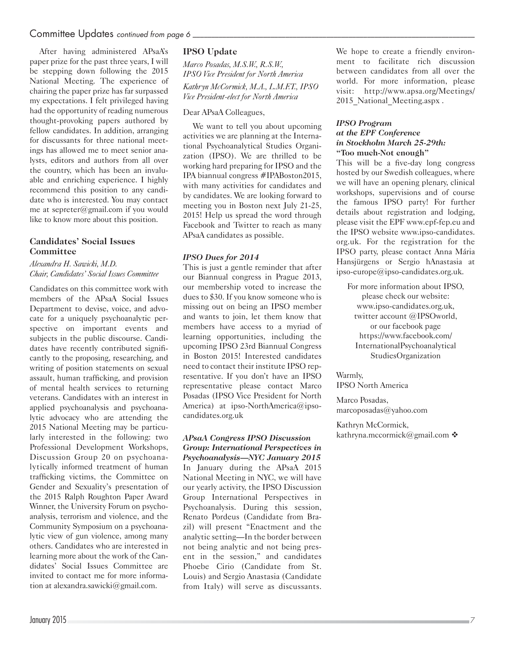## Committee Updates continued from page 6

After having administered APsaA's paper prize for the past three years, I will be stepping down following the 2015 National Meeting. The experience of chairing the paper prize has far surpassed my expectations. I felt privileged having had the opportunity of reading numerous thought-provoking papers authored by fellow candidates. In addition, arranging for discussants for three national meetings has allowed me to meet senior analysts, editors and authors from all over the country, which has been an invaluable and enriching experience. I highly recommend this position to any candidate who is interested. You may contact me at sepreter@gmail.com if you would like to know more about this position.

#### **Candidates' Social Issues Committee**

*Alexandra H. Sawicki, M.D. Chair, Candidates' Social Issues Committee*

Candidates on this committee work with members of the APsaA Social Issues Department to devise, voice, and advocate for a uniquely psychoanalytic perspective on important events and subjects in the public discourse. Candidates have recently contributed significantly to the proposing, researching, and writing of position statements on sexual assault, human trafficking, and provision of mental health services to returning veterans. Candidates with an interest in applied psychoanalysis and psychoanalytic advocacy who are attending the 2015 National Meeting may be particularly interested in the following: two Professional Development Workshops, Discussion Group 20 on psychoanalytically informed treatment of human trafficking victims, the Committee on Gender and Sexuality's presentation of the 2015 Ralph Roughton Paper Award Winner, the University Forum on psychoanalysis, terrorism and violence, and the Community Symposium on a psychoanalytic view of gun violence, among many others. Candidates who are interested in learning more about the work of the Candidates' Social Issues Committee are invited to contact me for more information at alexandra.sawicki@gmail.com.

#### **IPSO Update**

*Marco Posadas, M.S.W., R.S.W., IPSO Vice President for North America Kathryn McCormick, M.A., L.M.F.T., IPSO Vice President-elect for North America*

#### Dear APsaA Colleagues,

We want to tell you about upcoming activities we are planning at the International Psychoanalytical Studies Organization (IPSO). We are thrilled to be working hard preparing for IPSO and the IPA biannual congress #IPABoston2015, with many activities for candidates and by candidates. We are looking forward to meeting you in Boston next July 21-25, 2015! Help us spread the word through Facebook and Twitter to reach as many APsaA candidates as possible.

#### *IPSO Dues for 2014*

This is just a gentle reminder that after our Biannual congress in Prague 2013, our membership voted to increase the dues to \$30. If you know someone who is missing out on being an IPSO member and wants to join, let them know that members have access to a myriad of learning opportunities, including the upcoming IPSO 23rd Biannual Congress in Boston 2015! Interested candidates need to contact their institute IPSO representative. If you don't have an IPSO representative please contact Marco Posadas (IPSO Vice President for North America) at ipso-NorthAmerica@ipsocandidates.org.uk

#### *APsaA Congress IPSO Discussion Group: International Perspectives in Psychoanalysis—NYC January 2015*

In January during the APsaA 2015 National Meeting in NYC, we will have our yearly activity, the IPSO Discussion Group International Perspectives in Psychoanalysis. During this session, Renato Pordeus (Candidate from Brazil) will present "Enactment and the analytic setting—In the border between not being analytic and not being present in the session," and candidates Phoebe Cirio (Candidate from St. Louis) and Sergio Anastasia (Candidate from Italy) will serve as discussants. We hope to create a friendly environment to facilitate rich discussion between candidates from all over the world. For more information, please visit: http://www.apsa.org/Meetings/ 2015 National Meeting.aspx.

#### *IPSO Program at the EPF Conference in Stockholm March 25-29th:* **"Too much-Not enough"**

This will be a five-day long congress hosted by our Swedish colleagues, where we will have an opening plenary, clinical workshops, supervisions and of course the famous IPSO party! For further details about registration and lodging, please visit the EPF www.epf-fep.eu and the IPSO website www.ipso-candidates. org.uk. For the registration for the IPSO party, please contact Anna Mária Hansjürgens or Sergio hAnastasia at ipso-europe@ipso-candidates.org.uk.

For more information about IPSO, please check our website: www.ipso-candidates.org.uk, twitter account @IPSOworld, or our facebook page https://www.facebook.com/ InternationalPsychoanalytical StudiesOrganization

Warmly, IPSO North America

Marco Posadas, marcoposadas@yahoo.com

Kathryn McCormick, kathryna.mccormick@gmail.com  $\cdot$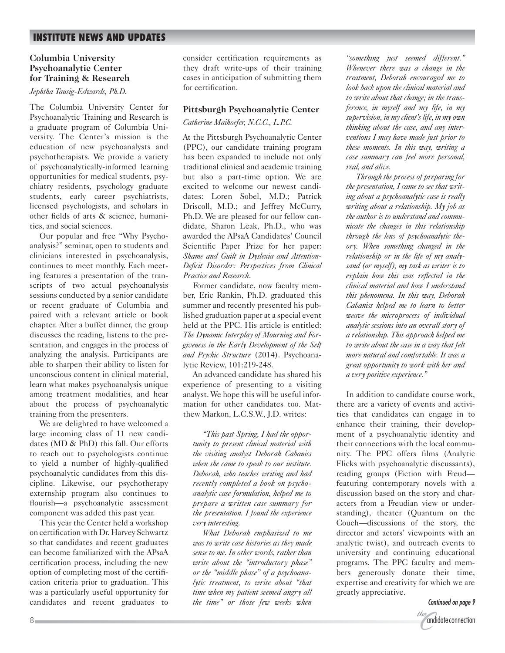# **INSTITUTE NEWS AND UPDATES**

#### **Columbia University Psychoanalytic Center for Training & Research**

#### *Jephtha Tausig-Edwards, Ph.D.*

The Columbia University Center for Psychoanalytic Training and Research is a graduate program of Columbia University. The Center's mission is the education of new psychoanalysts and psychotherapists. We provide a variety of psychoanalytically-informed learning opportunities for medical students, psychiatry residents, psychology graduate students, early career psychiatrists, licensed psychologists, and scholars in other fields of arts & science, humanities, and social sciences.

Our popular and free "Why Psychoanalysis?" seminar, open to students and clinicians interested in psychoanalysis, continues to meet monthly. Each meeting features a presentation of the transcripts of two actual psychoanalysis sessions conducted by a senior candidate or recent graduate of Columbia and paired with a relevant article or book chapter. After a buffet dinner, the group discusses the reading, listens to the presentation, and engages in the process of analyzing the analysis. Participants are able to sharpen their ability to listen for unconscious content in clinical material, learn what makes psychoanalysis unique among treatment modalities, and hear about the process of psychoanalytic training from the presenters.

We are delighted to have welcomed a large incoming class of 11 new candidates (MD & PhD) this fall. Our efforts to reach out to psychologists continue to yield a number of highly-qualified psychoanalytic candidates from this discipline. Likewise, our psychotherapy externship program also continues to flourish—a psychoanalytic assessment component was added this past year.

This year the Center held a workshop on certification with Dr. Harvey Schwartz so that candidates and recent graduates can become familiarized with the APsaA certification process, including the new option of completing most of the certification criteria prior to graduation. This was a particularly useful opportunity for candidates and recent graduates to

consider certification requirements as they draft write-ups of their training cases in anticipation of submitting them for certification.

#### **Pittsburgh Psychoanalytic Center**

*Catherine Maihoefer, N.C.C., L.P.C.*

At the Pittsburgh Psychoanalytic Center (PPC), our candidate training program has been expanded to include not only traditional clinical and academic training but also a part-time option. We are excited to welcome our newest candidates: Loren Sobel, M.D.; Patrick Driscoll, M.D.; and Jeffrey McCurry, Ph.D. We are pleased for our fellow candidate, Sharon Leak, Ph.D., who was awarded the APsaA Candidates' Council Scientific Paper Prize for her paper: *Shame and Guilt in Dyslexia and Attention-Deficit Disorder: Perspectives from Clinical Practice and Research*.

Former candidate, now faculty member, Eric Rankin, Ph.D. graduated this summer and recently presented his published graduation paper at a special event held at the PPC. His article is entitled: *The Dynamic Interplay of Mourning and Forgiveness in the Early Development of the Self and Psychic Structure* (2014). Psychoanalytic Review, 101:219-248.

An advanced candidate has shared his experience of presenting to a visiting analyst. We hope this will be useful information for other candidates too. Matthew Markon, L.C.S.W., J.D. writes:

*"This past Spring, I had the opportunity to present clinical material with the visiting analyst Deborah Cabaniss when she came to speak to our institute. Deborah, who teaches writing and had recently completed a book on psychoanalytic case formulation, helped me to prepare a written case summary for the presentation. I found the experience very interesting.*

*What Deborah emphasized to me was to write case histories as they made sense to me. In other words, rather than write about the "introductory phase" or the "middle phase" of a psychoanalytic treatment, to write about "that time when my patient seemed angry all the time" or those few weeks when* 

*"something just seemed different." Whenever there was a change in the treatment, Deborah encouraged me to look back upon the clinical material and to write about that change; in the transference, in myself and my life, in my supervision, in my client's life, in my own thinking about the case, and any interventions I may have made just prior to these moments. In this way, writing a case summary can feel more personal, real, and alive.*

*Through the process of preparing for the presentation, I came to see that writing about a psychoanalytic case is really writing about a relationship. My job as the author is to understand and communicate the changes in this relationship through the lens of psychoanalytic theory. When something changed in the relationship or in the life of my analysand (or myself), my task as writer is to explain how this was reflected in the clinical material and how I understand this phenomena. In this way, Deborah Cabaniss helped me to learn to better weave the microprocess of individual analytic sessions into an overall story of a relationship. This approach helped me to write about the case in a way that felt more natural and comfortable. It was a great opportunity to work with her and a very positive experience."*

In addition to candidate course work, there are a variety of events and activities that candidates can engage in to enhance their training, their development of a psychoanalytic identity and their connections with the local community. The PPC offers films (Analytic Flicks with psychoanalytic discussants), reading groups (Fiction with Freud featuring contemporary novels with a discussion based on the story and characters from a Freudian view or understanding), theater (Quantum on the Couch—discussions of the story, the director and actors' viewpoints with an analytic twist), and outreach events to university and continuing educational programs. The PPC faculty and members generously donate their time, expertise and creativity for which we are greatly appreciative.

Continued on page 9

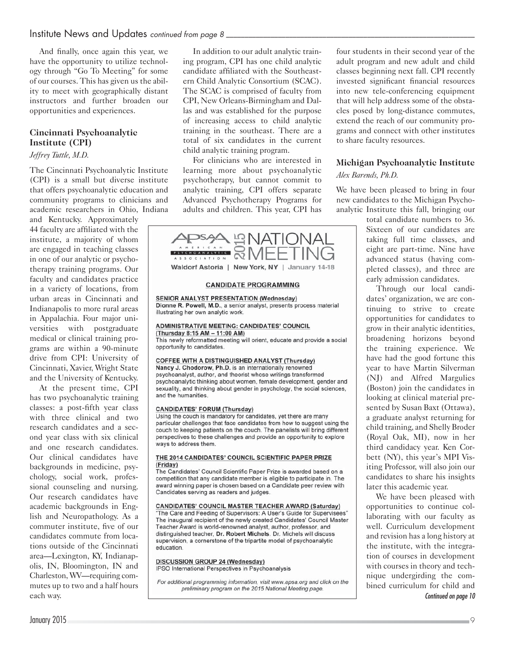# Institute News and Updates continued from page  $8$  \_\_\_\_\_\_\_\_\_\_\_\_\_\_\_\_\_\_\_\_\_\_\_\_\_\_\_\_\_\_

And finally, once again this year, we have the opportunity to utilize technology through "Go To Meeting" for some of our courses. This has given us the ability to meet with geographically distant instructors and further broaden our opportunities and experiences.

## **Cincinnati Psychoanalytic Institute (CPI)**

#### *Jeffrey Tuttle, M.D.*

The Cincinnati Psychoanalytic Institute (CPI) is a small but diverse institute that offers psychoanalytic education and community programs to clinicians and academic researchers in Ohio, Indiana and Kentucky. Approximately 44 faculty are affiliated with the institute, a majority of whom are engaged in teaching classes in one of our analytic or psychotherapy training programs. Our faculty and candidates practice in a variety of locations, from urban areas in Cincinnati and Indianapolis to more rural areas in Appalachia. Four major universities with postgraduate medical or clinical training programs are within a 90-minute drive from CPI: University of Cincinnati, Xavier, Wright State and the University of Kentucky.

At the present time, CPI has two psychoanalytic training classes: a post-fifth year class with three clinical and two research candidates and a second year class with six clinical and one research candidates. Our clinical candidates have backgrounds in medicine, psychology, social work, professional counseling and nursing. Our research candidates have academic backgrounds in English and Neuropathology. As a commuter institute, five of our candidates commute from locations outside of the Cincinnati area—Lexington, KY, Indianapolis, IN, Bloomington, IN and Charleston, WV—requiring commutes up to two and a half hours each way.

In addition to our adult analytic training program, CPI has one child analytic candidate affiliated with the Southeastern Child Analytic Consortium (SCAC). The SCAC is comprised of faculty from CPI, New Orleans-Birmingham and Dallas and was established for the purpose of increasing access to child analytic training in the southeast. There are a total of six candidates in the current child analytic training program.

For clinicians who are interested in learning more about psychoanalytic psychotherapy, but cannot commit to analytic training, CPI offers separate Advanced Psychotherapy Programs for adults and children. This year, CPI has



**SENIOR ANALYST PRESENTATION (Wednesday)** Dionne R. Powell, M.D., a senior analyst, presents process material illustrating her own analytic work.

#### **ADMINISTRATIVE MEETING: CANDIDATES' COUNCIL** (Thursday 8:15 AM - 11:00 AM)

This newly reformatted meeting will orient, educate and provide a social opportunity to candidates.

#### COFFEE WITH A DISTINGUISHED ANALYST (Thursday)

Nancy J. Chodorow, Ph.D. is an internationally renowned psychoanalyst, author, and theorist whose writings transformed psychoanalytic thinking about women, female development, gender and sexuality, and thinking about gender in psychology, the social sciences, and the humanities.

#### **CANDIDATES' FORUM (Thursday)**

Using the couch is mandatory for candidates, yet there are many particular challenges that face candidates from how to suggest using the couch to keeping patients on the couch. The panelists will bring different perspectives to these challenges and provide an opportunity to explore ways to address them.

#### THE 2014 CANDIDATES' COUNCIL SCIENTIFIC PAPER PRIZE (Friday)

The Candidates' Council Scientific Paper Prize is awarded based on a competition that any candidate member is eligible to participate in. The award winning paper is chosen based on a Candidate peer review with Candidates serving as readers and judges.

CANDIDATES' COUNCIL MASTER TEACHER AWARD (Saturday)<br>"The Care and Feeding of Supervisors: A User's Guide for Supervisees" The inaugural recipient of the newly created Candidates' Council Master Teacher Award is world-renowned analyst, author, professor, and distinguished teacher, Dr. Robert Michels. Dr. Michels will discuss supervision, a cornerstone of the tripartite model of psychoanalytic education.

#### **DISCUSSION GROUP 24 (Wednesday)** IPSO International Perspectives in Psychoanalysis

For additional programming information, visit www.apsa.org and click on the preliminary program on the 2015 National Meeting page.

four students in their second year of the adult program and new adult and child classes beginning next fall. CPI recently invested significant financial resources into new tele-conferencing equipment that will help address some of the obstacles posed by long-distance commutes, extend the reach of our community programs and connect with other institutes to share faculty resources.

# **Michigan Psychoanalytic Institute**

*Alex Barends, Ph.D.*

We have been pleased to bring in four new candidates to the Michigan Psychoanalytic Institute this fall, bringing our

total candidate numbers to 36. Sixteen of our candidates are taking full time classes, and eight are part-time. Nine have advanced status (having completed classes), and three are early admission candidates.

Through our local candidates' organization, we are continuing to strive to create opportunities for candidates to grow in their analytic identities, broadening horizons beyond the training experience. We have had the good fortune this year to have Martin Silverman (NJ) and Alfred Margulies (Boston) join the candidates in looking at clinical material presented by Susan Baxt (Ottawa), a graduate analyst returning for child training, and Shelly Broder (Royal Oak, MI), now in her third candidacy year. Ken Corbett (NY), this year's MPI Visiting Professor, will also join our candidates to share his insights later this academic year.

We have been pleased with opportunities to continue collaborating with our faculty as well. Curriculum development and revision has a long history at the institute, with the integration of courses in development with courses in theory and technique undergirding the combined curriculum for child and Continued on page 10